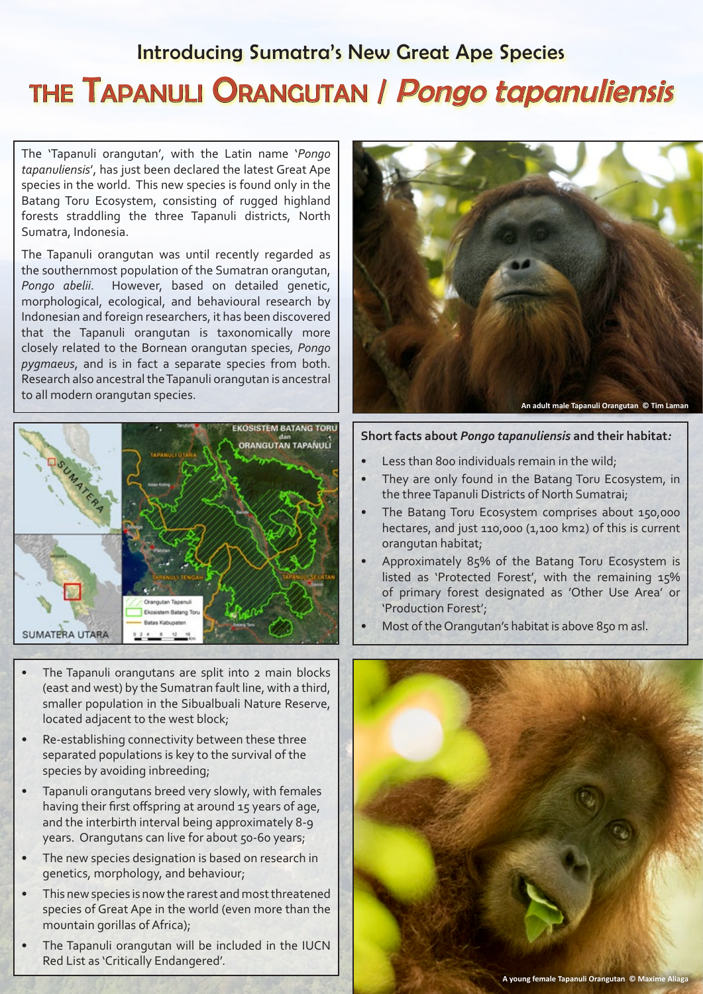## Introducing Sumatra's New Great Ape Species THE TAPANULI ORANGUTAN | Pongo tapanuliensis

The 'Tapanuli orangutan', with the Latin name '*Pongo tapanuliensis*', has just been declared the latest Great Ape species in the world. This new species is found only in the Batang Toru Ecosystem, consisting of rugged highland forests straddling the three Tapanuli districts, North Sumatra, Indonesia.

The Tapanuli orangutan was until recently regarded as the southernmost population of the Sumatran orangutan, *Pongo abelii*. However, based on detailed genetic, morphological, ecological, and behavioural research by Indonesian and foreign researchers, it has been discovered that the Tapanuli orangutan is taxonomically more closely related to the Bornean orangutan species, *Pongo pygmaeus*, and is in fact a separate species from both. Research also ancestral the Tapanuli orangutan is ancestral to all modern orangutan species.



- The Tapanuli orangutans are split into 2 main blocks (east and west) by the Sumatran fault line, with a third, smaller population in the Sibualbuali Nature Reserve, located adjacent to the west block;
- Re-establishing connectivity between these three separated populations is key to the survival of the species by avoiding inbreeding;
- Tapanuli orangutans breed very slowly, with females having their first offspring at around 15 years of age, and the interbirth interval being approximately 8-9 years. Orangutans can live for about 50-60 years;
- The new species designation is based on research in genetics, morphology, and behaviour;
- This new species is now the rarest and most threatened species of Great Ape in the world (even more than the mountain gorillas of Africa);
- The Tapanuli orangutan will be included in the IUCN Red List as 'Critically Endangered'.



## **Short facts about** *Pongo tapanuliensis* **and their habitat***:*

- Less than 800 individuals remain in the wild;
- They are only found in the Batang Toru Ecosystem, in the three Tapanuli Districts of North Sumatrai;
- The Batang Toru Ecosystem comprises about 150,000 hectares, and just 110,000 (1,100 km2) of this is current orangutan habitat;
- Approximately 85% of the Batang Toru Ecosystem is listed as 'Protected Forest', with the remaining 15% of primary forest designated as 'Other Use Area' or 'Production Forest';
- Most of the Orangutan's habitat is above 850 m asl.